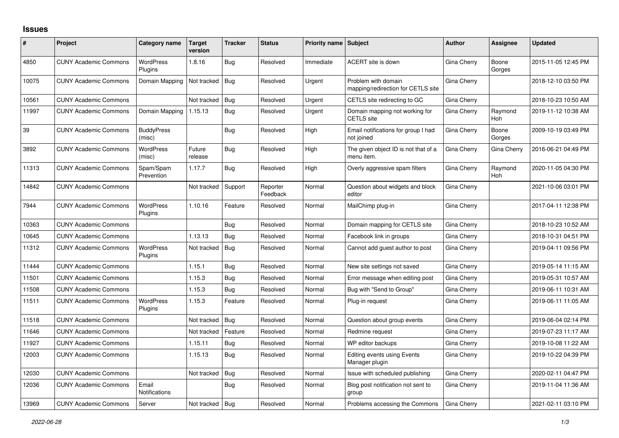## **Issues**

| #     | Project                      | Category name               | <b>Target</b><br>version | <b>Tracker</b> | <b>Status</b>        | Priority name Subject |                                                           | <b>Author</b> | Assignee              | <b>Updated</b>      |
|-------|------------------------------|-----------------------------|--------------------------|----------------|----------------------|-----------------------|-----------------------------------------------------------|---------------|-----------------------|---------------------|
| 4850  | <b>CUNY Academic Commons</b> | <b>WordPress</b><br>Plugins | 1.8.16                   | Bug            | Resolved             | Immediate             | ACERT site is down                                        | Gina Cherry   | Boone<br>Gorges       | 2015-11-05 12:45 PM |
| 10075 | <b>CUNY Academic Commons</b> | Domain Mapping              | Not tracked              | Bug            | Resolved             | Urgent                | Problem with domain<br>mapping/redirection for CETLS site | Gina Cherry   |                       | 2018-12-10 03:50 PM |
| 10561 | <b>CUNY Academic Commons</b> |                             | Not tracked              | Bug            | Resolved             | Urgent                | CETLS site redirecting to GC                              | Gina Cherry   |                       | 2018-10-23 10:50 AM |
| 11997 | <b>CUNY Academic Commons</b> | Domain Mapping              | 1.15.13                  | Bug            | Resolved             | Urgent                | Domain mapping not working for<br><b>CETLS</b> site       | Gina Cherry   | Raymond<br><b>Hoh</b> | 2019-11-12 10:38 AM |
| 39    | <b>CUNY Academic Commons</b> | <b>BuddyPress</b><br>(misc) |                          | <b>Bug</b>     | Resolved             | High                  | Email notifications for group I had<br>not joined         | Gina Cherry   | Boone<br>Gorges       | 2009-10-19 03:49 PM |
| 3892  | <b>CUNY Academic Commons</b> | WordPress<br>(misc)         | Future<br>release        | <b>Bug</b>     | Resolved             | High                  | The given object ID is not that of a<br>menu item.        | Gina Cherry   | Gina Cherry           | 2016-06-21 04:49 PM |
| 11313 | <b>CUNY Academic Commons</b> | Spam/Spam<br>Prevention     | 1.17.7                   | <b>Bug</b>     | Resolved             | High                  | Overly aggressive spam filters                            | Gina Cherry   | Raymond<br>Hoh        | 2020-11-05 04:30 PM |
| 14842 | <b>CUNY Academic Commons</b> |                             | Not tracked              | Support        | Reporter<br>Feedback | Normal                | Question about widgets and block<br>editor                | Gina Cherry   |                       | 2021-10-06 03:01 PM |
| 7944  | <b>CUNY Academic Commons</b> | <b>WordPress</b><br>Plugins | 1.10.16                  | Feature        | Resolved             | Normal                | MailChimp plug-in                                         | Gina Cherry   |                       | 2017-04-11 12:38 PM |
| 10363 | <b>CUNY Academic Commons</b> |                             |                          | Bug            | Resolved             | Normal                | Domain mapping for CETLS site                             | Gina Cherry   |                       | 2018-10-23 10:52 AM |
| 10645 | <b>CUNY Academic Commons</b> |                             | 1.13.13                  | Bug            | Resolved             | Normal                | Facebook link in groups                                   | Gina Cherry   |                       | 2018-10-31 04:51 PM |
| 11312 | <b>CUNY Academic Commons</b> | <b>WordPress</b><br>Plugins | Not tracked              | Bug            | Resolved             | Normal                | Cannot add guest author to post                           | Gina Cherry   |                       | 2019-04-11 09:56 PM |
| 11444 | <b>CUNY Academic Commons</b> |                             | 1.15.1                   | Bug            | Resolved             | Normal                | New site settings not saved                               | Gina Cherry   |                       | 2019-05-14 11:15 AM |
| 11501 | <b>CUNY Academic Commons</b> |                             | 1.15.3                   | Bug            | Resolved             | Normal                | Error message when editing post                           | Gina Cherry   |                       | 2019-05-31 10:57 AM |
| 11508 | <b>CUNY Academic Commons</b> |                             | 1.15.3                   | Bug            | Resolved             | Normal                | Bug with "Send to Group"                                  | Gina Cherry   |                       | 2019-06-11 10:31 AM |
| 11511 | <b>CUNY Academic Commons</b> | <b>WordPress</b><br>Plugins | 1.15.3                   | Feature        | Resolved             | Normal                | Plug-in request                                           | Gina Cherry   |                       | 2019-06-11 11:05 AM |
| 11518 | <b>CUNY Academic Commons</b> |                             | Not tracked              | <b>Bug</b>     | Resolved             | Normal                | Question about group events                               | Gina Cherry   |                       | 2019-06-04 02:14 PM |
| 11646 | <b>CUNY Academic Commons</b> |                             | Not tracked              | Feature        | Resolved             | Normal                | Redmine request                                           | Gina Cherry   |                       | 2019-07-23 11:17 AM |
| 11927 | <b>CUNY Academic Commons</b> |                             | 1.15.11                  | Bug            | Resolved             | Normal                | WP editor backups                                         | Gina Cherry   |                       | 2019-10-08 11:22 AM |
| 12003 | <b>CUNY Academic Commons</b> |                             | 1.15.13                  | Bug            | Resolved             | Normal                | <b>Editing events using Events</b><br>Manager plugin      | Gina Cherry   |                       | 2019-10-22 04:39 PM |
| 12030 | <b>CUNY Academic Commons</b> |                             | Not tracked              | Bug            | Resolved             | Normal                | Issue with scheduled publishing                           | Gina Cherry   |                       | 2020-02-11 04:47 PM |
| 12036 | <b>CUNY Academic Commons</b> | Email<br>Notifications      |                          | Bug            | Resolved             | Normal                | Blog post notification not sent to<br>group               | Gina Cherry   |                       | 2019-11-04 11:36 AM |
| 13969 | <b>CUNY Academic Commons</b> | Server                      | Not tracked   Bug        |                | Resolved             | Normal                | Problems accessing the Commons                            | Gina Cherry   |                       | 2021-02-11 03:10 PM |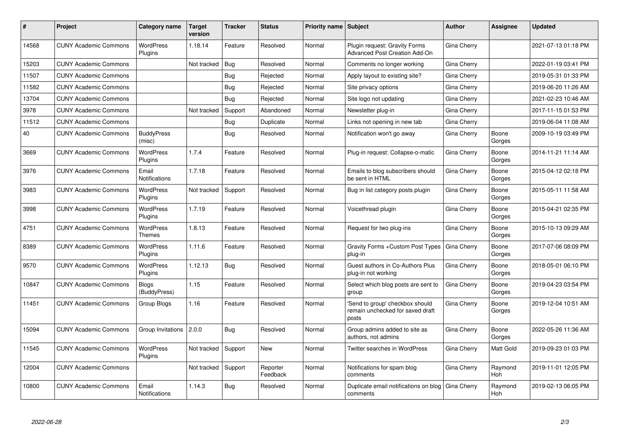| #     | Project                      | Category name                 | <b>Target</b><br>version | <b>Tracker</b> | <b>Status</b>        | Priority name Subject |                                                                              | Author             | Assignee        | <b>Updated</b>      |
|-------|------------------------------|-------------------------------|--------------------------|----------------|----------------------|-----------------------|------------------------------------------------------------------------------|--------------------|-----------------|---------------------|
| 14568 | <b>CUNY Academic Commons</b> | <b>WordPress</b><br>Plugins   | 1.18.14                  | Feature        | Resolved             | Normal                | Plugin request: Gravity Forms<br>Advanced Post Creation Add-On               | Gina Cherry        |                 | 2021-07-13 01:18 PM |
| 15203 | <b>CUNY Academic Commons</b> |                               | Not tracked              | Bug            | Resolved             | Normal                | Comments no longer working                                                   | Gina Cherry        |                 | 2022-01-19 03:41 PM |
| 11507 | <b>CUNY Academic Commons</b> |                               |                          | <b>Bug</b>     | Rejected             | Normal                | Apply layout to existing site?                                               | Gina Cherry        |                 | 2019-05-31 01:33 PM |
| 11582 | <b>CUNY Academic Commons</b> |                               |                          | <b>Bug</b>     | Rejected             | Normal                | Site privacy options                                                         | Gina Cherry        |                 | 2019-06-20 11:26 AM |
| 13704 | <b>CUNY Academic Commons</b> |                               |                          | Bug            | Rejected             | Normal                | Site logo not updating                                                       | Gina Cherry        |                 | 2021-02-23 10:46 AM |
| 3978  | <b>CUNY Academic Commons</b> |                               | Not tracked              | Support        | Abandoned            | Normal                | Newsletter plug-in                                                           | Gina Cherry        |                 | 2017-11-15 01:53 PM |
| 11512 | <b>CUNY Academic Commons</b> |                               |                          | Bug            | Duplicate            | Normal                | Links not opening in new tab                                                 | Gina Cherry        |                 | 2019-06-04 11:08 AM |
| 40    | <b>CUNY Academic Commons</b> | <b>BuddyPress</b><br>(misc)   |                          | <b>Bug</b>     | Resolved             | Normal                | Notification won't go away                                                   | Gina Cherry        | Boone<br>Gorges | 2009-10-19 03:49 PM |
| 3669  | <b>CUNY Academic Commons</b> | <b>WordPress</b><br>Plugins   | 1.7.4                    | Feature        | Resolved             | Normal                | Plug-in request: Collapse-o-matic                                            | Gina Cherry        | Boone<br>Gorges | 2014-11-21 11:14 AM |
| 3976  | <b>CUNY Academic Commons</b> | Email<br>Notifications        | 1.7.18                   | Feature        | Resolved             | Normal                | Emails to blog subscribers should<br>be sent in HTML                         | Gina Cherry        | Boone<br>Gorges | 2015-04-12 02:18 PM |
| 3983  | <b>CUNY Academic Commons</b> | <b>WordPress</b><br>Plugins   | Not tracked              | Support        | Resolved             | Normal                | Bug in list category posts plugin                                            | Gina Cherry        | Boone<br>Gorges | 2015-05-11 11:58 AM |
| 3998  | <b>CUNY Academic Commons</b> | <b>WordPress</b><br>Plugins   | 1.7.19                   | Feature        | Resolved             | Normal                | Voicethread plugin                                                           | Gina Cherry        | Boone<br>Gorges | 2015-04-21 02:35 PM |
| 4751  | <b>CUNY Academic Commons</b> | WordPress<br>Themes           | 1.8.13                   | Feature        | Resolved             | Normal                | Request for two plug-ins                                                     | Gina Cherry        | Boone<br>Gorges | 2015-10-13 09:29 AM |
| 8389  | <b>CUNY Academic Commons</b> | WordPress<br>Plugins          | 1.11.6                   | Feature        | Resolved             | Normal                | Gravity Forms + Custom Post Types<br>plug-in                                 | <b>Gina Cherry</b> | Boone<br>Gorges | 2017-07-06 08:09 PM |
| 9570  | <b>CUNY Academic Commons</b> | <b>WordPress</b><br>Plugins   | 1.12.13                  | <b>Bug</b>     | Resolved             | Normal                | Guest authors in Co-Authors Plus<br>plug-in not working                      | Gina Cherry        | Boone<br>Gorges | 2018-05-01 06:10 PM |
| 10847 | <b>CUNY Academic Commons</b> | <b>Blogs</b><br>(BuddyPress)  | 1.15                     | Feature        | Resolved             | Normal                | Select which blog posts are sent to<br>group                                 | Gina Cherry        | Boone<br>Gorges | 2019-04-23 03:54 PM |
| 11451 | <b>CUNY Academic Commons</b> | Group Blogs                   | 1.16                     | Feature        | Resolved             | Normal                | 'Send to group' checkbox should<br>remain unchecked for saved draft<br>posts | Gina Cherry        | Boone<br>Gorges | 2019-12-04 10:51 AM |
| 15094 | <b>CUNY Academic Commons</b> | Group Invitations 2.0.0       |                          | Bug            | Resolved             | Normal                | Group admins added to site as<br>authors, not admins                         | Gina Cherry        | Boone<br>Gorges | 2022-05-26 11:36 AM |
| 11545 | <b>CUNY Academic Commons</b> | <b>WordPress</b><br>Plugins   | Not tracked              | Support        | <b>New</b>           | Normal                | <b>Twitter searches in WordPress</b>                                         | Gina Cherry        | Matt Gold       | 2019-09-23 01:03 PM |
| 12004 | <b>CUNY Academic Commons</b> |                               | Not tracked              | Support        | Reporter<br>Feedback | Normal                | Notifications for spam blog<br>comments                                      | Gina Cherry        | Raymond<br>Hoh  | 2019-11-01 12:05 PM |
| 10800 | <b>CUNY Academic Commons</b> | Email<br><b>Notifications</b> | 1.14.3                   | <b>Bug</b>     | Resolved             | Normal                | Duplicate email notifications on blog<br>comments                            | Gina Cherry        | Raymond<br>Hoh  | 2019-02-13 06:05 PM |